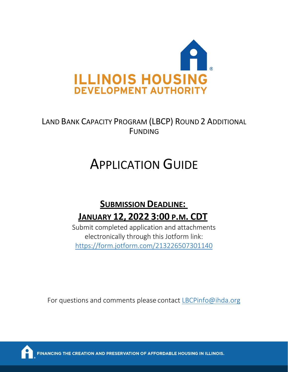

# LAND BANK CAPACITY PROGRAM (LBCP) ROUND 2 ADDITIONAL FUNDING

# APPLICATION GUIDE

# **SUBMISSION DEADLINE: JANUARY 12, 2022 3:00 P.M. CDT**

Submit completed application and attachments electronically through this Jotform link: <https://form.jotform.com/213226507301140>

For questions and comments please contact [LBCPinfo@ihda.org](mailto:LBCPinfo@ihda.org)



HE CREATION AND PRESERVATION OF AFFORDABLE HOUSING IN ILLINOIS.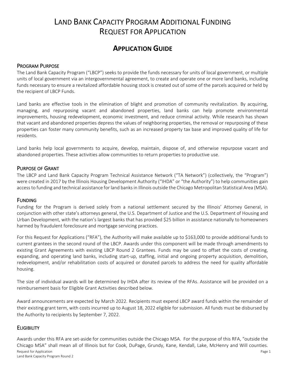## LAND BANK CAPACITY PROGRAM ADDITIONAL FUNDING REQUEST FOR APPLICATION

### **APPLICATION GUIDE**

#### PROGRAM PURPOSE

The Land Bank Capacity Program ("LBCP") seeks to provide the funds necessary for units of local government, or multiple units of local government via an intergovernmental agreement, to create and operate one or more land banks, including funds necessary to ensure a revitalized affordable housing stock is created out of some of the parcels acquired or held by the recipient of LBCP Funds.

Land banks are effective tools in the elimination of blight and promotion of community revitalization. By acquiring, managing, and repurposing vacant and abandoned properties, land banks can help promote environmental improvements, housing redevelopment, economic investment, and reduce criminal activity. While research has shown that vacant and abandoned properties depress the values of neighboring properties, the removal or repurposing of these properties can foster many community benefits, such as an increased property tax base and improved quality of life for residents.

Land banks help local governments to acquire, develop, maintain, dispose of, and otherwise repurpose vacant and abandoned properties. These activities allow communities to return properties to productive use.

#### PURPOSE OF GRANT

The LBCP and Land Bank Capacity Program Technical Assistance Network ("TA Network") (collectively, the "Program") were created in 2017 by the Illinois Housing Development Authority ("IHDA" or "the Authority") to help communities gain access to funding and technical assistance for land banks in Illinois outside the Chicago Metropolitan Statistical Area (MSA).

#### FUNDING

Funding for the Program is derived solely from a national settlement secured by the Illinois' Attorney General, in conjunction with other state's attorneys general, the U.S. Department of Justice and the U.S. Department of Housing and Urban Development, with the nation's largest banks that has provided \$25 billion in assistance nationally to homeowners harmed by fraudulent foreclosure and mortgage servicing practices.

For this Request for Applications ("RFA"), the Authority will make available up to \$163,000 to provide additional funds to current grantees in the second round of the LBCP. Awards under this component will be made through amendments to existing Grant Agreements with existing LBCP Round 2 Grantees. Funds may be used to offset the costs of creating, expanding, and operating land banks, including start-up, staffing, initial and ongoing property acquisition, demolition, redevelopment, and/or rehabilitation costs of acquired or donated parcels to address the need for quality affordable housing.

The size of individual awards will be determined by IHDA after its review of the RFAs. Assistance will be provided on a reimbursement basis for Eligible Grant Activities described below.

Award announcements are expected by March 2022. Recipients must expend LBCP award funds within the remainder of their existing grant term, with costs incurred up to August 18, 2022 eligible for submission. All funds must be disbursed by the Authority to recipients by September 7, 2022.

#### **ELIGIBILITY**

Awards under this RFA are set-aside for communities outside the Chicago MSA. For the purpose of this RFA, "outside the Chicago MSA" shall mean all of Illinois but for Cook, DuPage, Grundy, Kane, Kendall, Lake, McHenry and Will counties.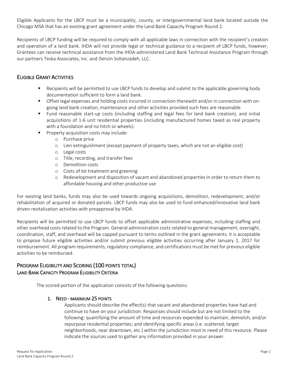Eligible Applicants for the LBCP must be a municipality, county, or intergovernmental land bank located outside the Chicago MSA that has an existing grant agreement under the Land Bank Capacity Program Round 2.

Recipients of LBCP funding will be required to comply with all applicable laws in connection with the recipient's creation and operation of a land bank. IHDA will not provide legal or technical guidance to a recipient of LBCP funds, however, Grantees can receive technical assistance from the IHDA-administered Land Bank Technical Assistance Program through our partners Teska Associates, Inc. and Denzin Soltanzadeh, LLC.

#### ELIGIBLE GRANT ACTIVITIES

- Recipients will be permitted to use LBCP funds to develop and submit to the applicable governing body documentation sufficient to form a land bank.
- Offset legal expenses and holding costs incurred in connection therewith and/or in connection with ongoing land bank creation, maintenance and other activities provided such fees are reasonable
- Fund reasonable start-up costs (including staffing and legal fees for land bank creation), and initial acquisitions of 1-6 unit residential properties (including manufactured homes taxed as real property with a foundation and no hitch or wheels).
- Property acquisition costs may include:
	- o Purchase price
	- o Lien extinguishment (except payment of property taxes, which are not an eligible cost)
	- o Legal costs
	- o Title, recording, and transfer fees
	- o Demolition costs
	- o Costs of lot treatment and greening
	- o Redevelopment and disposition of vacant and abandoned properties in order to return them to affordable housing and other productive use

For existing land banks, funds may also be used towards ongoing acquisitions, demolition, redevelopment, and/or rehabilitation of acquired or donated parcels. LBCP funds may also be used to fund enhanced/innovative land bank driven revitalization activities with preapproval by IHDA.

Recipients will be permitted to use LBCP funds to offset applicable administrative expenses, including staffing and other overhead costs related to the Program. General administration costs related to general management, oversight, coordination, staff, and overhead will be capped pursuant to terms outlined in the grant agreements. It is acceptable to propose future eligible activities and/or submit previous eligible activities occurring after January 1, 2017 for reimbursement. All program requirements, regulatory compliance, and certifications must be met for previous eligible activities to be reimbursed.

#### PROGRAM ELIGIBILITY AND SCORING (100 POINTS TOTAL) LAND BANK CAPACITY PROGRAM ELIGIBILITY CRITERIA

The scored portion of the application consists of the following questions:

#### 1. NEED - MAXIMUM 25 POINTS

Applicants should describe the effect(s) that vacant and abandoned properties have had and continue to have on your jurisdiction. Responses should include but are not limited to the following: quantifying the amount of time and resources expended to maintain, demolish, and/or repurpose residential properties; and identifying specific areas (i.e. scattered, target neighborhoods, near downtown, etc.) within the jurisdiction most in need of this resource. Please indicate the sources used to gather any information provided in your answer.